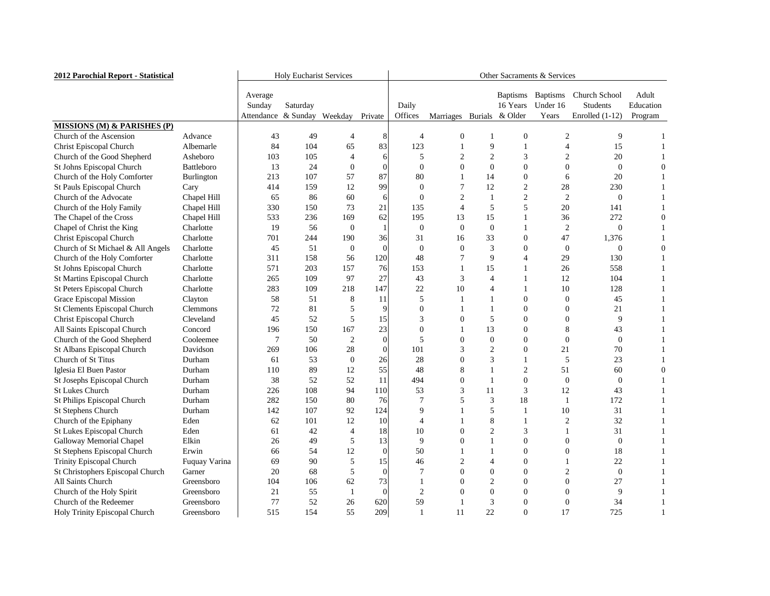| 2012 Parochial Report - Statistical    | <b>Holy Eucharist Services</b> |                                          |          |                  | Other Sacraments & Services |                  |                |                |                                                |                                      |                                                |                               |
|----------------------------------------|--------------------------------|------------------------------------------|----------|------------------|-----------------------------|------------------|----------------|----------------|------------------------------------------------|--------------------------------------|------------------------------------------------|-------------------------------|
|                                        |                                | Average<br>Sunday<br>Attendance & Sunday | Saturday | Weekday          | Private                     | Daily<br>Offices | Marriages      |                | <b>Baptisms</b><br>16 Years<br>Burials & Older | <b>Baptisms</b><br>Under 16<br>Years | Church School<br>Students<br>Enrolled $(1-12)$ | Adult<br>Education<br>Program |
| <b>MISSIONS (M) &amp; PARISHES (P)</b> |                                |                                          |          |                  |                             |                  |                |                |                                                |                                      |                                                |                               |
| Church of the Ascension                | Advance                        | 43                                       | 49       | $\overline{4}$   | 8                           |                  |                |                | $\boldsymbol{0}$                               | 2                                    | 9                                              |                               |
| <b>Christ Episcopal Church</b>         | Albemarle                      | 84                                       | 104      | 65               | 83                          | 123              |                | 9              |                                                |                                      | 15                                             |                               |
| Church of the Good Shepherd            | Asheboro                       | 103                                      | 105      | 4                | 61                          | 5                |                | 2              | 3                                              |                                      | 20                                             |                               |
| St Johns Episcopal Church              | Battleboro                     | 13                                       | 24       | $\boldsymbol{0}$ | $\overline{0}$              | 0                |                | $\overline{0}$ |                                                | $\theta$                             | $\theta$                                       |                               |
| Church of the Holy Comforter           | Burlington                     | 213                                      | 107      | 57               | 87                          | 80               |                | 14             | $\Omega$                                       | 6                                    | 20                                             |                               |
| St Pauls Episcopal Church              | Cary                           | 414                                      | 159      | 12               | 99                          | $\boldsymbol{0}$ |                | 12             | $\overline{2}$                                 | 28                                   | 230                                            |                               |
| Church of the Advocate                 | Chapel Hill                    | 65                                       | 86       | 60               | 6                           | 0                | $\overline{2}$ |                | $\overline{2}$                                 | $\overline{2}$                       | $\overline{0}$                                 |                               |
| Church of the Holy Family              | Chapel Hill                    | 330                                      | 150      | 73               | 21                          | 135              |                | 5              | 5                                              | 20                                   | 141                                            |                               |
| The Chapel of the Cross                | Chapel Hill                    | 533                                      | 236      | 169              | 62                          | 195              | 13             | 15             |                                                | 36                                   | 272                                            |                               |
| Chapel of Christ the King              | Charlotte                      | 19                                       | 56       | $\boldsymbol{0}$ |                             | $\overline{0}$   | $\overline{0}$ | $\theta$       |                                                | $\overline{2}$                       | $\theta$                                       |                               |
| <b>Christ Episcopal Church</b>         | Charlotte                      | 701                                      | 244      | 190              | 36                          | 31               | 16             | 33             | $\Omega$                                       | 47                                   | 1,376                                          |                               |
| Church of St Michael & All Angels      | Charlotte                      | 45                                       | 51       | $\overline{0}$   | $\overline{0}$              | $\theta$         | $\Omega$       | 3              | $\Omega$                                       | $\mathbf{0}$                         | $\theta$                                       |                               |
| Church of the Holy Comforter           | Charlotte                      | 311                                      | 158      | 56               | 120                         | 48               |                | 9              |                                                | 29                                   | 130                                            |                               |
| St Johns Episcopal Church              | Charlotte                      | 571                                      | 203      | 157              | 76                          | 153              |                | 15             |                                                | 26                                   | 558                                            |                               |
| St Martins Episcopal Church            | Charlotte                      | 265                                      | 109      | 97               | 27                          | 43               |                |                |                                                | 12                                   | 104                                            |                               |
| St Peters Episcopal Church             | Charlotte                      | 283                                      | 109      | 218              | 147                         | 22               | 10             |                |                                                | 10                                   | 128                                            |                               |
| Grace Episcopal Mission                | Clayton                        | 58                                       | 51       | 8                | 11                          | 5                |                |                | $\theta$                                       | $\overline{0}$                       | 45                                             |                               |
| <b>St Clements Episcopal Church</b>    | <b>Clemmons</b>                | 72                                       | 81       | 5                | 9                           | 0                |                |                | $\Omega$                                       | $\Omega$                             | 21                                             |                               |
| <b>Christ Episcopal Church</b>         | Cleveland                      | 45                                       | 52       | 5                | 15                          | 3                |                | 5              | 0                                              | $\Omega$                             | 9                                              |                               |
| All Saints Episcopal Church            | Concord                        | 196                                      | 150      | 167              | 23                          | 0                |                | 13             | $\Omega$                                       | 8                                    | 43                                             |                               |
| Church of the Good Shepherd            | Cooleemee                      |                                          | 50       | $\overline{2}$   | $\overline{0}$              | 5                |                | 0              | $\Omega$                                       | $\theta$                             | $\theta$                                       |                               |
| St Albans Episcopal Church             | Davidson                       | 269                                      | 106      | 28               | $\overline{0}$              | 101              |                | $\overline{2}$ | $\Omega$                                       | 21                                   | 70                                             |                               |
| Church of St Titus                     | Durham                         | 61                                       | 53       | $\boldsymbol{0}$ | 26                          | 28               |                | 3              |                                                | 5                                    | 23                                             |                               |
| Iglesia El Buen Pastor                 | Durham                         | 110                                      | 89       | 12               | 55                          | 48               | 8              |                | $\overline{2}$                                 | 51                                   | 60                                             |                               |
| St Josephs Episcopal Church            | Durham                         | 38                                       | 52       | 52               | 11                          | 494              | $\theta$       |                | $\overline{0}$                                 | $\overline{0}$                       | 0                                              |                               |
| <b>St Lukes Church</b>                 | Durham                         | 226                                      | 108      | 94               | 110                         | 53               |                | 11             | 3                                              | 12                                   | 43                                             |                               |
| St Philips Episcopal Church            | Durham                         | 282                                      | 150      | 80               | 76                          |                  |                | 3              | 18                                             |                                      | 172                                            |                               |
| <b>St Stephens Church</b>              | Durham                         | 142                                      | 107      | 92               | 124                         | 9                |                | 5              |                                                | 10                                   | 31                                             |                               |
| Church of the Epiphany                 | Eden                           | 62                                       | 101      | 12               | 10                          |                  |                | 8              |                                                | $\overline{2}$                       | 32                                             |                               |
| St Lukes Episcopal Church              | Eden                           | 61                                       | 42       | $\overline{4}$   | 18                          | 10               |                |                | 3                                              |                                      | 31                                             |                               |
| <b>Galloway Memorial Chapel</b>        | Elkin                          | 26                                       | 49       | 5                | 13                          | 9                |                |                |                                                |                                      | $\theta$                                       |                               |
| St Stephens Episcopal Church           | Erwin                          | 66                                       | 54       | 12               | $\overline{0}$              | 50               |                |                |                                                |                                      | 18                                             |                               |
| Trinity Episcopal Church               | Fuquay Varina                  | 69                                       | 90       | 5                | 15                          | 46               |                |                |                                                |                                      | 22                                             |                               |
| St Christophers Episcopal Church       | Garner                         | 20                                       | 68       | 5                | $\overline{0}$              |                  | $\theta$       | 0              |                                                |                                      | $\boldsymbol{0}$                               |                               |
| All Saints Church                      | Greensboro                     | 104                                      | 106      | 62               | 73                          |                  |                | 2              |                                                | $\boldsymbol{0}$                     | 27                                             |                               |
| Church of the Holy Spirit              | Greensboro                     | 21                                       | 55       |                  | $\overline{0}$              | 2                |                | 0              |                                                |                                      | 9                                              |                               |
| Church of the Redeemer                 | Greensboro                     | 77                                       | 52       | 26               | 620                         | 59               |                | 3              | $\boldsymbol{0}$                               | $\boldsymbol{0}$                     | 34                                             |                               |
| Holy Trinity Episcopal Church          | Greensboro                     | 515                                      | 154      | 55               | 209                         |                  | 11             | 22             | $\mathbf{0}$                                   | 17                                   | 725                                            |                               |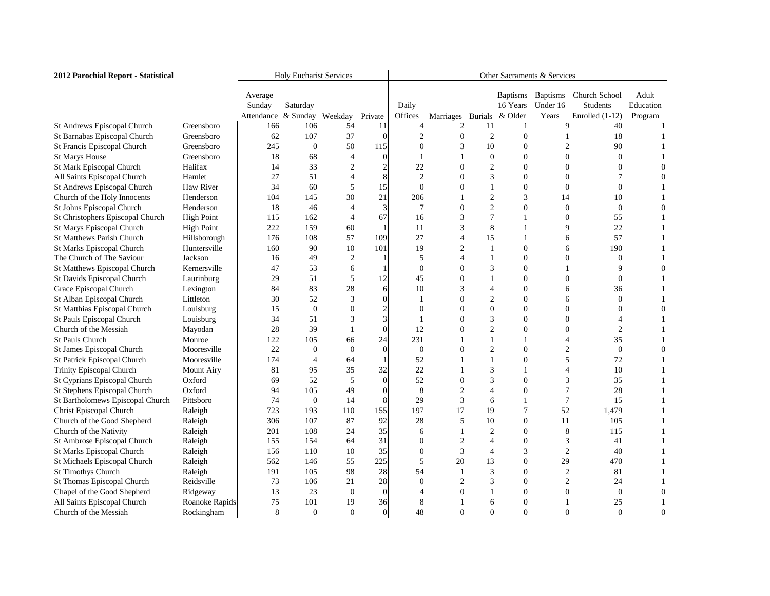| 2012 Parochial Report - Statistical | <b>Holy Eucharist Services</b> |                     |                  |                  | Other Sacraments & Services |                |                |                |                             |                             |                                         |                    |
|-------------------------------------|--------------------------------|---------------------|------------------|------------------|-----------------------------|----------------|----------------|----------------|-----------------------------|-----------------------------|-----------------------------------------|--------------------|
|                                     |                                | Average<br>Sunday   | Saturday         |                  |                             | Daily          |                |                | <b>Baptisms</b><br>16 Years | <b>Baptisms</b><br>Under 16 | <b>Church School</b><br><b>Students</b> | Adult<br>Education |
|                                     |                                | Attendance & Sunday |                  | Weekday          | Private                     | Offices        | Marriages      |                | Burials & Older             | Years                       | Enrolled $(1-12)$                       | Program            |
| St Andrews Episcopal Church         | Greensboro                     | 166                 | 106              | 54               | 11                          |                |                | 11             |                             | 9                           | 40                                      |                    |
| St Barnabas Episcopal Church        | Greensboro                     | 62                  | 107              | 37               |                             |                |                | 2              |                             |                             | 18                                      |                    |
| St Francis Episcopal Church         | Greensboro                     | 245                 | $\overline{0}$   | 50               | 115                         |                |                | 10             |                             |                             | 90                                      |                    |
| <b>St Marys House</b>               | Greensboro                     | 18                  | 68               | 4                |                             |                |                | $\Omega$       | 0                           |                             | $\theta$                                |                    |
| St Mark Episcopal Church            | Halifax                        | 14                  | 33               | $\overline{2}$   |                             | 22             |                | $\overline{2}$ |                             |                             |                                         |                    |
| All Saints Episcopal Church         | Hamlet                         | 27                  | 51               | 4                |                             | $\overline{2}$ |                | 3              | 0                           |                             |                                         |                    |
| St Andrews Episcopal Church         | Haw River                      | 34                  | 60               | 5                | 15                          |                |                |                |                             |                             |                                         |                    |
| Church of the Holy Innocents        | Henderson                      | 104                 | 145              | 30               | 21                          | 206            |                | 2              | 3                           | 14                          | 10                                      |                    |
| St Johns Episcopal Church           | Henderson                      | 18                  | 46               | 4                | 3                           |                |                | 2              | 0                           | $\Omega$                    | 0                                       |                    |
| St Christophers Episcopal Church    | <b>High Point</b>              | 115                 | 162              | 4                | 67                          | 16             |                |                |                             | $\theta$                    | 55                                      |                    |
| St Marys Episcopal Church           | <b>High Point</b>              | 222                 | 159              | 60               |                             | 11             |                | 8              |                             |                             | 22                                      |                    |
| <b>St Matthews Parish Church</b>    | Hillsborough                   | 176                 | 108              | 57               | 109                         | 27             |                | 15             |                             | 6                           | 57                                      |                    |
| St Marks Episcopal Church           | Huntersville                   | 160                 | 90               | 10               | 101                         | 19             |                |                |                             |                             | 190                                     |                    |
| The Church of The Saviour           | Jackson                        | 16                  | 49               | 2                |                             | 5              |                |                |                             |                             | $\theta$                                |                    |
| <b>St Matthews Episcopal Church</b> | Kernersville                   | 47                  | 53               | 6                |                             |                |                |                |                             |                             | 9                                       |                    |
| St Davids Episcopal Church          | Laurinburg                     | 29                  | 51               | 5                | 12                          | 45             |                |                | 0                           |                             | 0                                       |                    |
| Grace Episcopal Church              | Lexington                      | 84                  | 83               | 28               |                             | 10             |                |                |                             |                             | 36                                      |                    |
| St Alban Episcopal Church           | Littleton                      | 30                  | 52               | 3                |                             |                |                |                |                             |                             | 0                                       |                    |
| St Matthias Episcopal Church        | Louisburg                      | 15                  | $\theta$         | 0                |                             |                |                | 0              |                             |                             |                                         |                    |
| St Pauls Episcopal Church           | Louisburg                      | 34                  | 51               | 3                |                             |                |                | 3              | 0                           |                             |                                         |                    |
| Church of the Messiah               | Mayodan                        | 28                  | 39               |                  | 0                           | 12             |                |                |                             |                             | 2                                       |                    |
| <b>St Pauls Church</b>              | Monroe                         | 122                 | 105              | 66               | 24                          | 231            |                |                |                             |                             | 35                                      |                    |
| St James Episcopal Church           | Mooresville                    | 22                  | 0                | $\boldsymbol{0}$ |                             | $\theta$       |                |                | 0                           |                             | 0                                       |                    |
| <b>St Patrick Episcopal Church</b>  | Mooresville                    | 174                 |                  | 64               |                             | 52             |                |                | 0                           |                             | 72                                      |                    |
| Trinity Episcopal Church            | <b>Mount Airy</b>              | 81                  | 95               | 35               | 32                          | 22             |                | 3              |                             |                             | 10                                      |                    |
| St Cyprians Episcopal Church        | Oxford                         | 69                  | 52               | 5                |                             | 52             | $\Omega$       | 3              | 0                           | 3                           | 35                                      |                    |
| St Stephens Episcopal Church        | Oxford                         | 94                  | 105              | 49               |                             | 8              |                |                | $\mathbf{\Omega}$           |                             | 28                                      |                    |
| St Bartholomews Episcopal Church    | Pittsboro                      | 74                  | $\mathbf{0}$     | 14               |                             | 29             |                | 6              |                             |                             | 15                                      |                    |
| <b>Christ Episcopal Church</b>      | Raleigh                        | 723                 | 193              | 110              | 155                         | 197            | 17             | 19             |                             | 52                          | 1,479                                   |                    |
| Church of the Good Shepherd         | Raleigh                        | 306                 | 107              | 87               | 92                          | 28             |                | 10             | 0                           | 11                          | 105                                     |                    |
| Church of the Nativity              | Raleigh                        | 201                 | 108              | 24               | 35                          | 6              |                | $\overline{2}$ |                             | 8                           | 115                                     |                    |
| St Ambrose Episcopal Church         | Raleigh                        | 155                 | 154              | 64               | 31                          | $\theta$       |                |                |                             | 3                           | 41                                      |                    |
| St Marks Episcopal Church           | Raleigh                        | 156                 | 110              | 10               | 35                          |                |                |                |                             | $\overline{2}$              | 40                                      |                    |
| <b>St Michaels Episcopal Church</b> | Raleigh                        | 562                 | 146              | 55               | 225                         | 5              | 20             | 13             |                             | 29                          | 470                                     |                    |
| <b>St Timothys Church</b>           | Raleigh                        | 191                 | 105              | 98               | 28                          | 54             |                | 3              |                             |                             | 81                                      |                    |
| St Thomas Episcopal Church          | Reidsville                     | 73                  | 106              | 21               | 28                          | $\theta$       |                |                |                             | $\overline{2}$              | 24                                      |                    |
| Chapel of the Good Shepherd         | Ridgeway                       | 13                  | 23               | $\boldsymbol{0}$ |                             |                |                |                |                             | $\Omega$                    | $\overline{0}$                          |                    |
| All Saints Episcopal Church         | Roanoke Rapids                 | 75                  | 101              | 19               | 36                          | 8              |                | 6              | 0                           |                             | 25                                      |                    |
| Church of the Messiah               | Rockingham                     | 8                   | $\boldsymbol{0}$ | $\boldsymbol{0}$ | $\overline{0}$              | 48             | $\overline{0}$ | $\overline{0}$ | $\boldsymbol{0}$            | $\boldsymbol{0}$            | $\overline{0}$                          |                    |